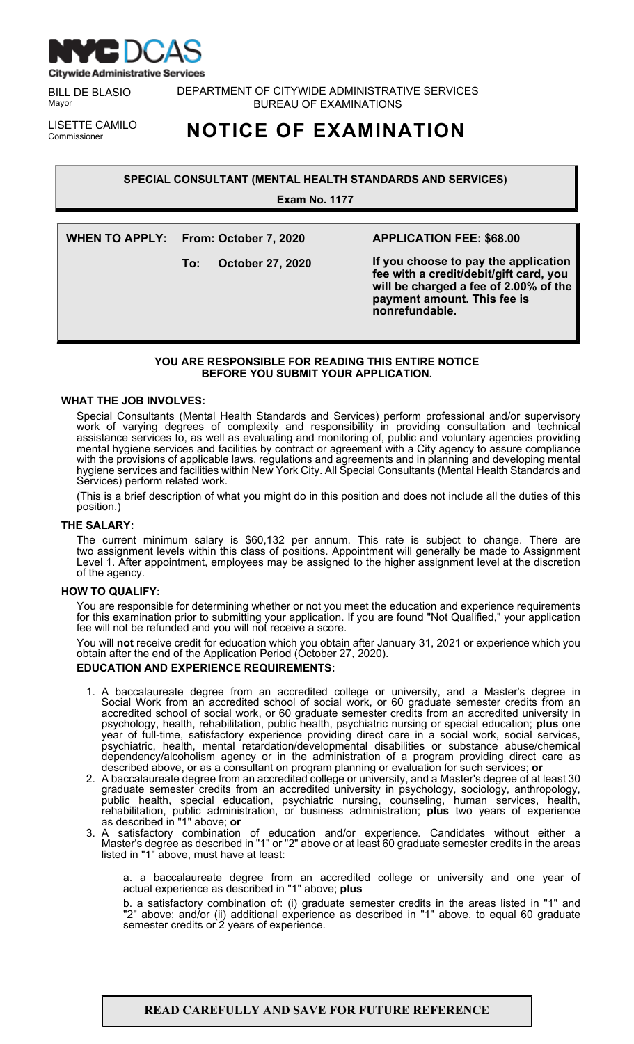

BILL DE BLASIO Mayor

DEPARTMENT OF CITYWIDE ADMINISTRATIVE SERVICES BUREAU OF EXAMINATIONS

LISETTE CAMILO<br>Commissioner

**NOTICE OF EXAMINATION** 

**SPECIAL CONSULTANT (MENTAL HEALTH STANDARDS AND SERVICES)**

**Exam No. 1177**

**WHEN TO APPLY: From: October 7, 2020 To: October 27, 2020 APPLICATION FEE: \$68.00 If you choose to pay the application fee with a credit/debit/gift card, you will be charged a fee of 2.00% of the payment amount. This fee is nonrefundable.**

# **YOU ARE RESPONSIBLE FOR READING THIS ENTIRE NOTICE BEFORE YOU SUBMIT YOUR APPLICATION.**

# **WHAT THE JOB INVOLVES:**

Special Consultants (Mental Health Standards and Services) perform professional and/or supervisory work of varying degrees of complexity and responsibility in providing consultation and technical assistance services to, as well as evaluating and monitoring of, public and voluntary agencies providing mental hygiene services and facilities by contract or agreement with a City agency to assure compliance with the provisions of applicable laws, regulations and agreements and in planning and developing mental hygiene services and facilities within New York City. All Special Consultants (Mental Health Standards and Services) perform related work.

(This is a brief description of what you might do in this position and does not include all the duties of this position.)

# **THE SALARY:**

The current minimum salary is \$60,132 per annum. This rate is subject to change. There are two assignment levels within this class of positions. Appointment will generally be made to Assignment Level 1. After appointment, employees may be assigned to the higher assignment level at the discretion of the agency.

## **HOW TO QUALIFY:**

You are responsible for determining whether or not you meet the education and experience requirements for this examination prior to submitting your application. If you are found "Not Qualified," your application fee will not be refunded and you will not receive a score.

You will **not** receive credit for education which you obtain after January 31, 2021 or experience which you obtain after the end of the Application Period (October 27, 2020).

# **EDUCATION AND EXPERIENCE REQUIREMENTS:**

- 1. A baccalaureate degree from an accredited college or university, and a Master's degree in Social Work from an accredited school of social work, or 60 graduate semester credits from an accredited school of social work, or 60 graduate semester credits from an accredited university in psychology, health, rehabilitation, public health, psychiatric nursing or special education; **plus** one year of full-time, satisfactory experience providing direct care in a social work, social services, psychiatric, health, mental retardation/developmental disabilities or substance abuse/chemical dependency/alcoholism agency or in the administration of a program providing direct care as described above, or as a consultant on program planning or evaluation for such services; **or**
- 2. A baccalaureate degree from an accredited college or university, and a Master's degree of at least 30 graduate semester credits from an accredited university in psychology, sociology, anthropology, public health, special education, psychiatric nursing, counseling, human services, health, rehabilitation, public administration, or business administration; **plus** two years of experience as described in "1" above; **or**
- 3. A satisfactory combination of education and/or experience. Candidates without either a Master's degree as described in "1" or "2" above or at least 60 graduate semester credits in the areas listed in "1" above, must have at least:

a. a baccalaureate degree from an accredited college or university and one year of actual experience as described in "1" above; **plus**

b. a satisfactory combination of: (i) graduate semester credits in the areas listed in "1" and "2" above; and/or (ii) additional experience as described in "1" above, to equal 60 graduate semester credits or 2 years of experience.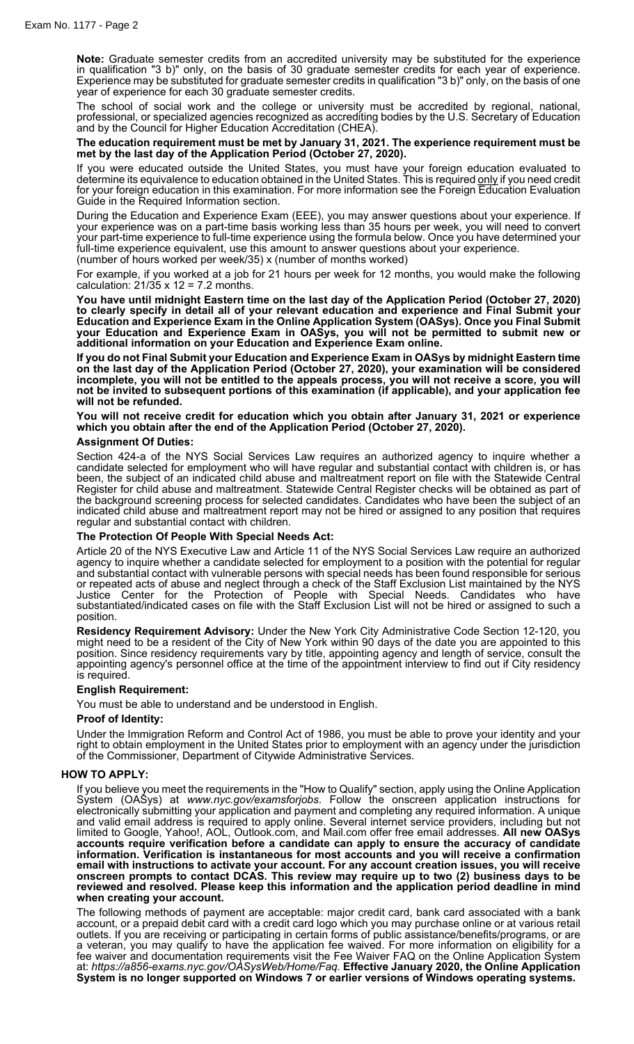**Note:** Graduate semester credits from an accredited university may be substituted for the experience in qualification "3 b)" only, on the basis of 30 graduate semester credits for each year of experience. Experience may be substituted for graduate semester credits in qualification "3 b)" only, on the basis of one year of experience for each 30 graduate semester credits.

The school of social work and the college or university must be accredited by regional, national, professional, or specialized agencies recognized as accrediting bodies by the U.S. Secretary of Education and by the Council for Higher Education Accreditation (CHEA).

#### **The education requirement must be met by January 31, 2021. The experience requirement must be met by the last day of the Application Period (October 27, 2020).**

If you were educated outside the United States, you must have your foreign education evaluated to determine its equivalence to education obtained in the United States. This is required <u>only</u> if you need credit for your foreign education in this examination. For more information see the Foreign Education Evaluation Guide in the Required Information section.

During the Education and Experience Exam (EEE), you may answer questions about your experience. If your experience was on a part-time basis working less than 35 hours per week, you will need to convert your part-time experience to full-time experience using the formula below. Once you have determined your full-time experience equivalent, use this amount to answer questions about your experience. (number of hours worked per week/35) x (number of months worked)

For example, if you worked at a job for 21 hours per week for 12 months, you would make the following calculation:  $21/35 \times 12 = 7.2$  months.

**You have until midnight Eastern time on the last day of the Application Period (October 27, 2020) to clearly specify in detail all of your relevant education and experience and Final Submit your Education and Experience Exam in the Online Application System (OASys). Once you Final Submit your Education and Experience Exam in OASys, you will not be permitted to submit new or additional information on your Education and Experience Exam online.**

**If you do not Final Submit your Education and Experience Exam in OASys by midnight Eastern time on the last day of the Application Period (October 27, 2020), your examination will be considered** incomplete, you will not be entitled to the appeals process, you will not receive a score, you will **not be invited to subsequent portions of this examination (if applicable), and your application fee will not be refunded.**

**You will not receive credit for education which you obtain after January 31, 2021 or experience which you obtain after the end of the Application Period (October 27, 2020).**

## **Assignment Of Duties:**

Section 424-a of the NYS Social Services Law requires an authorized agency to inquire whether a candidate selected for employment who will have regular and substantial contact with children is, or has been, the subject of an indicated child abuse and maltreatment report on file with the Statewide Central Register for child abuse and maltreatment. Statewide Central Register checks will be obtained as part of the background screening process for selected candidates. Candidates who have been the subject of an indicated child abuse and maltreatment report may not be hired or assigned to any position that requires regular and substantial contact with children.

## **The Protection Of People With Special Needs Act:**

Article 20 of the NYS Executive Law and Article 11 of the NYS Social Services Law require an authorized agency to inquire whether a candidate selected for employment to a position with the potential for regular and substantial contact with vulnerable persons with special needs has been found responsible for serious or repeated acts of abuse and neglect through a check of the Staff Exclusion List maintained by the NYS Justice Center for the Protection of People with Special Needs. Candidates who have substantiated/indicated cases on file with the Staff Exclusion List will not be hired or assigned to such a position.

**Residency Requirement Advisory:** Under the New York City Administrative Code Section 12-120, you might need to be a resident of the City of New York within 90 days of the date you are appointed to this position. Since residency requirements vary by title, appointing agency and length of service, consult the appointing agency's personnel office at the time of the appointment interview to find out if City residency is required.

## **English Requirement:**

You must be able to understand and be understood in English.

#### **Proof of Identity:**

Under the Immigration Reform and Control Act of 1986, you must be able to prove your identity and your right to obtain employment in the United States prior to employment with an agency under the jurisdiction of the Commissioner, Department of Citywide Administrative Services.

## **HOW TO APPLY:**

If you believe you meet the requirements in the "How to Qualify" section, apply using the Online Application System (OASys) at *www.nyc.gov/examsforjobs*. Follow the onscreen application instructions for electronically submitting your application and payment and completing any required information. A unique and valid email address is required to apply online. Several internet service providers, including but not limited to Google, Yahoo!, AOL, Outlook.com, and Mail.com offer free email addresses. **All new OASys accounts require verification before a candidate can apply to ensure the accuracy of candidate information. Verification is instantaneous for most accounts and you will receive a confirmation email with instructions to activate your account. For any account creation issues, you will receive onscreen prompts to contact DCAS. This review may require up to two (2) business days to be reviewed and resolved. Please keep this information and the application period deadline in mind when creating your account.**

The following methods of payment are acceptable: major credit card, bank card associated with a bank account, or a prepaid debit card with a credit card logo which you may purchase online or at various retail outlets. If you are receiving or participating in certain forms of public assistance/benefits/programs, or are a veteran, you may qualify to have the application fee waived. For more information on eligibility for a fee waiver and documentation requirements visit the Fee Waiver FAQ on the Online Application System at: *https://a856-exams.nyc.gov/OASysWeb/Home/Faq.* **Effective January 2020, the Online Application System is no longer supported on Windows 7 or earlier versions of Windows operating systems.**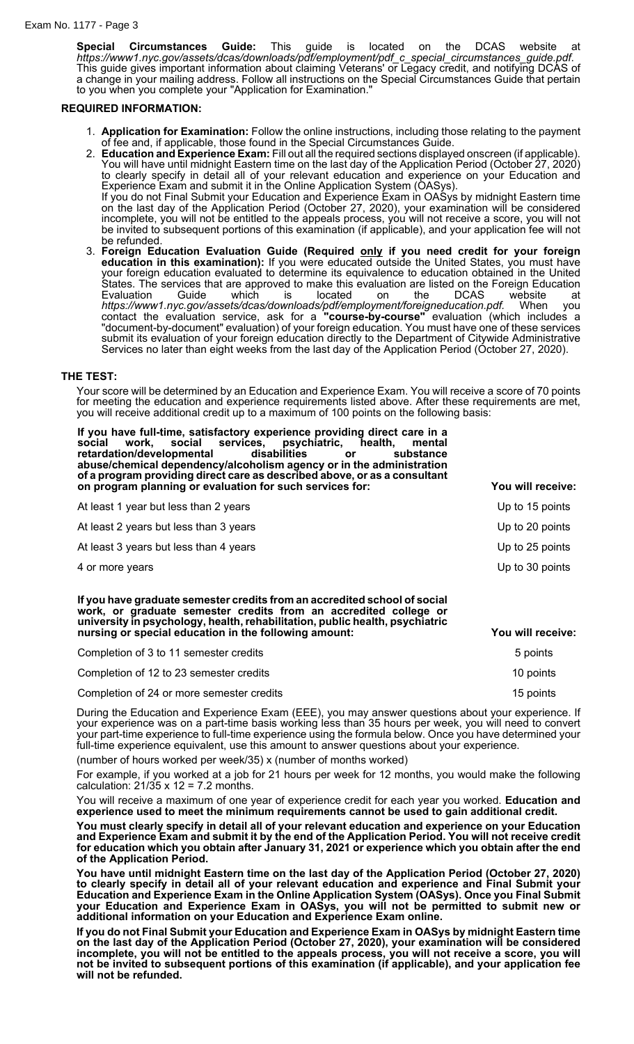**Special Circumstances Guide:** This guide is located on the DCAS website at *https://www1.nyc.gov/assets/dcas/downloads/pdf/employment/pdf\_c\_special\_circumstances\_guide.pdf*. This guide gives important information about claiming Veterans' or Legacy credit, and notifying DCAS of a change in your mailing address. Follow all instructions on the Special Circumstances Guide that pertain to you when you complete your "Application for Examination."

## **REQUIRED INFORMATION:**

- 1. **Application for Examination:** Follow the online instructions, including those relating to the payment of fee and, if applicable, those found in the Special Circumstances Guide.
- 2. **Education and Experience Exam:** Fill out all the required sections displayed onscreen (if applicable). You will have until midnight Eastern time on the last day of the Application Period (October 27, 2020) to clearly specify in detail all of your relevant education and experience on your Education and Experience Exam and submit it in the Online Application System (OASys). If you do not Final Submit your Education and Experience Exam in OASys by midnight Eastern time on the last day of the Application Period (October 27, 2020), your examination will be considered incomplete, you will not be entitled to the appeals process, you will not receive a score, you will not be invited to subsequent portions of this examination (if applicable), and your application fee will not be refunded.
- 3. **Foreign Education Evaluation Guide (Required only if you need credit for your foreign education in this examination):** If you were educated outside the United States, you must have your foreign education evaluated to determine its equivalence to education obtained in the United States. The services that are approved to make this evaluation are listed on the Foreign Education Evaluation Guide which is located on the DCAS website at *https://www1.nyc.gov/assets/dcas/downloads/pdf/employment/foreigneducation.pdf.* When you contact the evaluation service, ask for a **"course-by-course"** evaluation (which includes a "document-by-document" evaluation) of your foreign education. You must have one of these services submit its evaluation of your foreign education directly to the Department of Citywide Administrative Services no later than eight weeks from the last day of the Application Period (October 27, 2020).

#### **THE TEST:**

Your score will be determined by an Education and Experience Exam. You will receive a score of 70 points for meeting the education and experience requirements listed above. After these requirements are met, you will receive additional credit up to a maximum of 100 points on the following basis:

| If you have full-time, satisfactory experience providing direct care in a<br>work, social services, psychiatric, health,<br>social<br>mental<br>retardation/developmental<br>disabilities<br>substance<br>or.<br>abuse/chemical dependency/alcoholism agency or in the administration<br>of a program providing direct care as described above, or as a consultant<br>on program planning or evaluation for such services for: | You will receive: |
|--------------------------------------------------------------------------------------------------------------------------------------------------------------------------------------------------------------------------------------------------------------------------------------------------------------------------------------------------------------------------------------------------------------------------------|-------------------|
| At least 1 year but less than 2 years                                                                                                                                                                                                                                                                                                                                                                                          | Up to 15 points   |
| At least 2 years but less than 3 years                                                                                                                                                                                                                                                                                                                                                                                         | Up to 20 points   |
| At least 3 years but less than 4 years                                                                                                                                                                                                                                                                                                                                                                                         | Up to 25 points   |
| 4 or more years                                                                                                                                                                                                                                                                                                                                                                                                                | Up to 30 points   |
| If you have graduate semester credits from an accredited school of social<br>work, or graduate semester credits from an accredited college or<br>university in psychology, health, rehabilitation, public health, psychiatric<br>nursing or special education in the following amount:                                                                                                                                         | You will receive: |
| Completion of 3 to 11 semester credits                                                                                                                                                                                                                                                                                                                                                                                         | 5 points          |
| Completion of 12 to 23 semester credits                                                                                                                                                                                                                                                                                                                                                                                        | 10 points         |
| Completion of 24 or more semester credits                                                                                                                                                                                                                                                                                                                                                                                      | 15 points         |

During the Education and Experience Exam (EEE), you may answer questions about your experience. If your experience was on a part-time basis working less than 35 hours per week, you will need to convert your part-time experience to full-time experience using the formula below. Once you have determined your full-time experience equivalent, use this amount to answer questions about your experience.

(number of hours worked per week/35) x (number of months worked)

For example, if you worked at a job for 21 hours per week for 12 months, you would make the following calculation:  $21/35 \times 12 = 7.2$  months.

You will receive a maximum of one year of experience credit for each year you worked. **Education and experience used to meet the minimum requirements cannot be used to gain additional credit.**

**You must clearly specify in detail all of your relevant education and experience on your Education** and Experience Exam and submit it by the end of the Application Period. You will not receive credit **for education which you obtain after January 31, 2021 or experience which you obtain after the end of the Application Period.**

**You have until midnight Eastern time on the last day of the Application Period (October 27, 2020) to clearly specify in detail all of your relevant education and experience and Final Submit your Education and Experience Exam in the Online Application System (OASys). Once you Final Submit your Education and Experience Exam in OASys, you will not be permitted to submit new or additional information on your Education and Experience Exam online.**

**If you do not Final Submit your Education and Experience Exam in OASys by midnight Eastern time on the last day of the Application Period (October 27, 2020), your examination will be considered** incomplete, you will not be entitled to the appeals process, you will not receive a score, you will **not be invited to subsequent portions of this examination (if applicable), and your application fee will not be refunded.**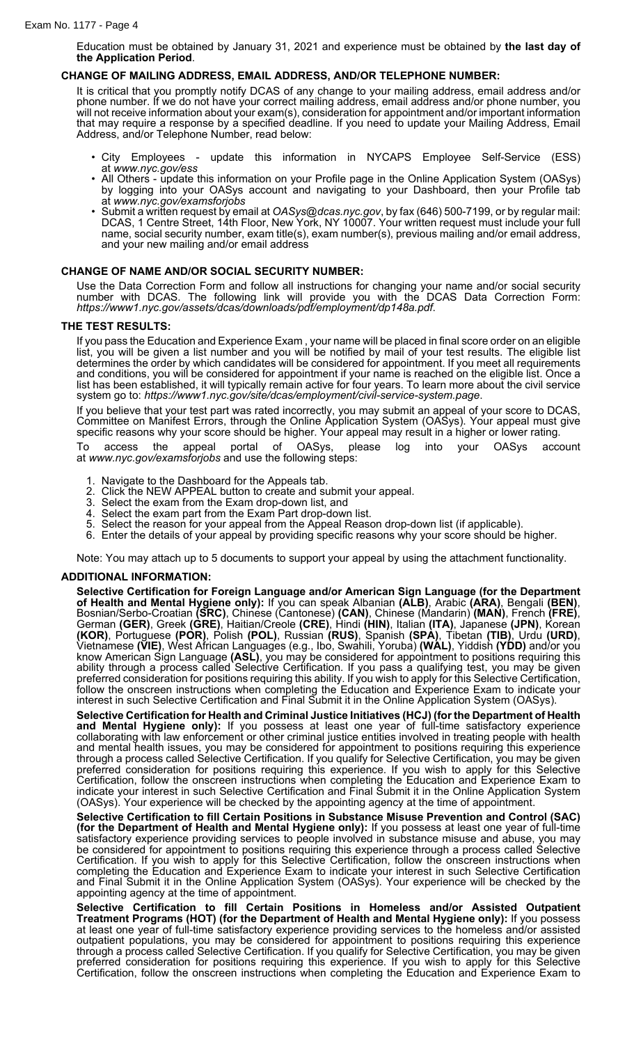Education must be obtained by January 31, 2021 and experience must be obtained by **the last day of the Application Period**.

## **CHANGE OF MAILING ADDRESS, EMAIL ADDRESS, AND/OR TELEPHONE NUMBER:**

It is critical that you promptly notify DCAS of any change to your mailing address, email address and/or phone number. If we do not have your correct mailing address, email address and/or phone number, you will not receive information about your exam(s), consideration for appointment and/or important information that may require a response by a specified deadline. If you need to update your Mailing Address, Email Address, and/or Telephone Number, read below:

- City Employees update this information in NYCAPS Employee Self-Service (ESS) at *www.nyc.gov/ess*
- All Others update this information on your Profile page in the Online Application System (OASys) by logging into your OASys account and navigating to your Dashboard, then your Profile tab at *www.nyc.gov/examsforjobs*
- Submit a written request by email at *OASys@dcas.nyc.gov*, by fax (646) 500-7199, or by regular mail: DCAS, 1 Centre Street, 14th Floor, New York, NY 10007. Your written request must include your full name, social security number, exam title(s), exam number(s), previous mailing and/or email address, and your new mailing and/or email address

## **CHANGE OF NAME AND/OR SOCIAL SECURITY NUMBER:**

Use the Data Correction Form and follow all instructions for changing your name and/or social security number with DCAS. The following link will provide you with the DCAS Data Correction Form: *https://www1.nyc.gov/assets/dcas/downloads/pdf/employment/dp148a.pdf*.

## **THE TEST RESULTS:**

If you pass the Education and Experience Exam , your name will be placed in final score order on an eligible list, you will be given a list number and you will be notified by mail of your test results. The eligible list determines the order by which candidates will be considered for appointment. If you meet all requirements and conditions, you will be considered for appointment if your name is reached on the eligible list. Once a list has been established, it will typically remain active for four years. To learn more about the civil service system go to: *https://www1.nyc.gov/site/dcas/employment/civil-service-system.page*.

If you believe that your test part was rated incorrectly, you may submit an appeal of your score to DCAS, Committee on Manifest Errors, through the Online Application System (OASys). Your appeal must give specific reasons why your score should be higher. Your appeal may result in a higher or lower rating.

To access the appeal portal of OASys, please log into your OASys account at *www.nyc.gov/examsforjobs* and use the following steps:

- 1. Navigate to the Dashboard for the Appeals tab.
- 2. Click the NEW APPEAL button to create and submit your appeal.
- 3. Select the exam from the Exam drop-down list, and 4 Select the exam part from the Exam Part drop-down
- 4. Select the exam part from the Exam Part drop-down list.<br>5. Select the reason for your appeal from the Appeal Reaso
- Select the reason for your appeal from the Appeal Reason drop-down list (if applicable).
- 6. Enter the details of your appeal by providing specific reasons why your score should be higher.

Note: You may attach up to 5 documents to support your appeal by using the attachment functionality.

#### **ADDITIONAL INFORMATION:**

**Selective Certification for Foreign Language and/or American Sign Language (for the Department of Health and Mental Hygiene only):** If you can speak Albanian **(ALB)**, Arabic **(ARA)**, Bengali **(BEN)**, Bosnian/Serbo-Croatian **(SRC)**, Chinese (Cantonese) **(CAN)**, Chinese (Mandarin) **(MAN)**, French **(FRE)**, German **(GER)**, Greek **(GRE)**, Haitian/Creole **(CRE)**, Hindi **(HIN)**, Italian **(ITA)**, Japanese **(JPN)**, Korean **(KOR)**, Portuguese **(POR)**, Polish **(POL)**, Russian **(RUS)**, Spanish **(SPA)**, Tibetan **(TIB)**, Urdu **(URD)**, Vietnamese **(VIE)**, West African Languages (e.g., Ibo, Swahili, Yoruba) **(WAL)**, Yiddish **(YDD)** and/or you know American Sign Language **(ASL)**, you may be considered for appointment to positions requiring this ability through a process called Selective Certification. If you pass a qualifying test, you may be given preferred consideration for positions requiring this ability. If you wish to apply for this Selective Certification, follow the onscreen instructions when completing the Education and Experience Exam to indicate your interest in such Selective Certification and Final Submit it in the Online Application System (OASys).

**Selective Certification for Health and Criminal Justice Initiatives (HCJ) (for the Department of Health and Mental Hygiene only):** If you possess at least one year of full-time satisfactory experience collaborating with law enforcement or other criminal justice entities involved in treating people with health and mental health issues, you may be considered for appointment to positions requiring this experience through a process called Selective Certification. If you qualify for Selective Certification, you may be given preferred consideration for positions requiring this experience. If you wish to apply for this Selective Certification, follow the onscreen instructions when completing the Education and Experience Exam to indicate your interest in such Selective Certification and Final Submit it in the Online Application System (OASys). Your experience will be checked by the appointing agency at the time of appointment.

**Selective Certification to fill Certain Positions in Substance Misuse Prevention and Control (SAC) (for the Department of Health and Mental Hygiene only):** If you possess at least one year of full-time satisfactory experience providing services to people involved in substance misuse and abuse, you may be considered for appointment to positions requiring this experience through a process called Selective Certification. If you wish to apply for this Selective Certification, follow the onscreen instructions when completing the Education and Experience Exam to indicate your interest in such Selective Certification and Final Submit it in the Online Application System (OASys). Your experience will be checked by the appointing agency at the time of appointment.

**Selective Certification to fill Certain Positions in Homeless and/or Assisted Outpatient Treatment Programs (HOT) (for the Department of Health and Mental Hygiene only):** If you possess at least one year of full-time satisfactory experience providing services to the homeless and/or assisted outpatient populations, you may be considered for appointment to positions requiring this experience through a process called Selective Certification. If you qualify for Selective Certification, you may be given preferred consideration for positions requiring this experience. If you wish to apply for this Selective Certification, follow the onscreen instructions when completing the Education and Experience Exam to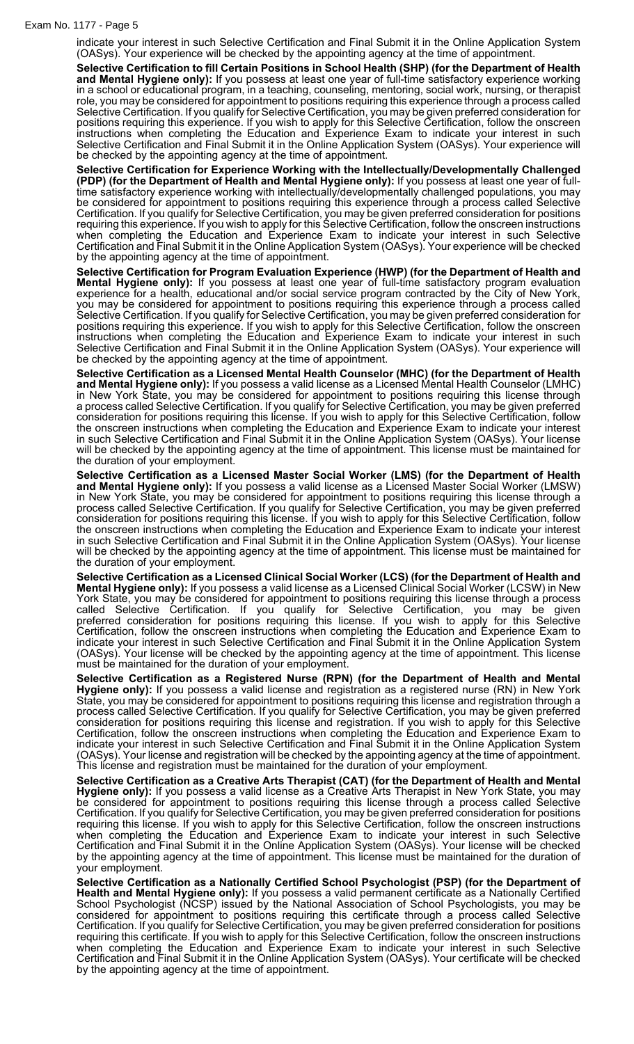indicate your interest in such Selective Certification and Final Submit it in the Online Application System (OASys). Your experience will be checked by the appointing agency at the time of appointment.

**Selective Certification to fill Certain Positions in School Health (SHP) (for the Department of Health and Mental Hygiene only):** If you possess at least one year of full-time satisfactory experience working in a school or educational program, in a teaching, counseling, mentoring, social work, nursing, or therapist role, you may be considered for appointment to positions requiring this experience through a process called Selective Certification. If you qualify for Selective Certification, you may be given preferred consideration for positions requiring this experience. If you wish to apply for this Selective Certification, follow the onscreen instructions when completing the Education and Experience Exam to indicate your interest in such Selective Certification and Final Submit it in the Online Application System (OASys). Your experience will be checked by the appointing agency at the time of appointment.

**Selective Certification for Experience Working with the Intellectually/Developmentally Challenged (PDP) (for the Department of Health and Mental Hygiene only):** If you possess at least one year of fulltime satisfactory experience working with intellectually/developmentally challenged populations, you may be considered for appointment to positions requiring this experience through a process called Selective Certification. If you qualify for Selective Certification, you may be given preferred consideration for positions requiring this experience. If you wish to apply for this Selective Certification, follow the onscreen instructions when completing the Education and Experience Exam to indicate your interest in such Selective Certification and Final Submit it in the Online Application System (OASys). Your experience will be checked by the appointing agency at the time of appointment.

**Selective Certification for Program Evaluation Experience (HWP) (for the Department of Health and Mental Hygiene only):** If you possess at least one year of full-time satisfactory program evaluation experience for a health, educational and/or social service program contracted by the City of New York, you may be considered for appointment to positions requiring this experience through a process called Selective Certification. If you qualify for Selective Certification, you may be given preferred consideration for positions requiring this experience. If you wish to apply for this Selective Certification, follow the onscreen instructions when completing the Education and Experience Exam to indicate your interest in such Selective Certification and Final Submit it in the Online Application System (OASys). Your experience will be checked by the appointing agency at the time of appointment.

**Selective Certification as a Licensed Mental Health Counselor (MHC) (for the Department of Health and Mental Hygiene only):** If you possess a valid license as a Licensed Mental Health Counselor (LMHC) in New York State, you may be considered for appointment to positions requiring this license through a process called Selective Certification. If you qualify for Selective Certification, you may be given preferred consideration for positions requiring this license. If you wish to apply for this Selective Certification, follow the onscreen instructions when completing the Education and Experience Exam to indicate your interest in such Selective Certification and Final Submit it in the Online Application System (OASys). Your license will be checked by the appointing agency at the time of appointment. This license must be maintained for the duration of your employment.

**Selective Certification as a Licensed Master Social Worker (LMS) (for the Department of Health and Mental Hygiene only):** If you possess a valid license as a Licensed Master Social Worker (LMSW) in New York State, you may be considered for appointment to positions requiring this license through a process called Selective Certification. If you qualify for Selective Certification, you may be given preferred consideration for positions requiring this license. If you wish to apply for this Selective Certification, follow the onscreen instructions when completing the Education and Experience Exam to indicate your interest in such Selective Certification and Final Submit it in the Online Application System (OASys). Your license will be checked by the appointing agency at the time of appointment. This license must be maintained for the duration of your employment.

**Selective Certification as a Licensed Clinical Social Worker (LCS) (for the Department of Health and Mental Hygiene only):** If you possess a valid license as a Licensed Clinical Social Worker (LCSW) in New York State, you may be considered for appointment to positions requiring this license through a process called Selective Certification. If you qualify for Selective Certification, you may be given preferred consideration for positions requiring this license. If you wish to apply for this Selective Certification, follow the onscreen instructions when completing the Education and Experience Exam to indicate your interest in such Selective Certification and Final Submit it in the Online Application System (OASys). Your license will be checked by the appointing agency at the time of appointment. This license must be maintained for the duration of your employment.

**Selective Certification as a Registered Nurse (RPN) (for the Department of Health and Mental Hygiene only):** If you possess a valid license and registration as a registered nurse (RN) in New York State, you may be considered for appointment to positions requiring this license and registration through a process called Selective Certification. If you qualify for Selective Certification, you may be given preferred consideration for positions requiring this license and registration. If you wish to apply for this Selective Certification, follow the onscreen instructions when completing the Education and Experience Exam to indicate your interest in such Selective Certification and Final Submit it in the Online Application System (OASys). Your license and registration will be checked by the appointing agency at the time of appointment. This license and registration must be maintained for the duration of your employment.

**Selective Certification as a Creative Arts Therapist (CAT) (for the Department of Health and Mental Hygiene only):** If you possess a valid license as a Creative Arts Therapist in New York State, you may be considered for appointment to positions requiring this license through a process called Selective Certification. If you qualify for Selective Certification, you may be given preferred consideration for positions requiring this license. If you wish to apply for this Selective Certification, follow the onscreen instructions when completing the Education and Experience Exam to indicate your interest in such Selective Certification and Final Submit it in the Online Application System (OASys). Your license will be checked by the appointing agency at the time of appointment. This license must be maintained for the duration of your employment.

**Selective Certification as a Nationally Certified School Psychologist (PSP) (for the Department of Health and Mental Hygiene only):** If you possess a valid permanent certificate as a Nationally Certified School Psychologist (NCSP) issued by the National Association of School Psychologists, you may be considered for appointment to positions requiring this certificate through a process called Selective Certification. If you qualify for Selective Certification, you may be given preferred consideration for positions requiring this certificate. If you wish to apply for this Selective Certification, follow the onscreen instructions when completing the Education and Experience Exam to indicate your interest in such Selective Certification and Final Submit it in the Online Application System (OASys). Your certificate will be checked by the appointing agency at the time of appointment.